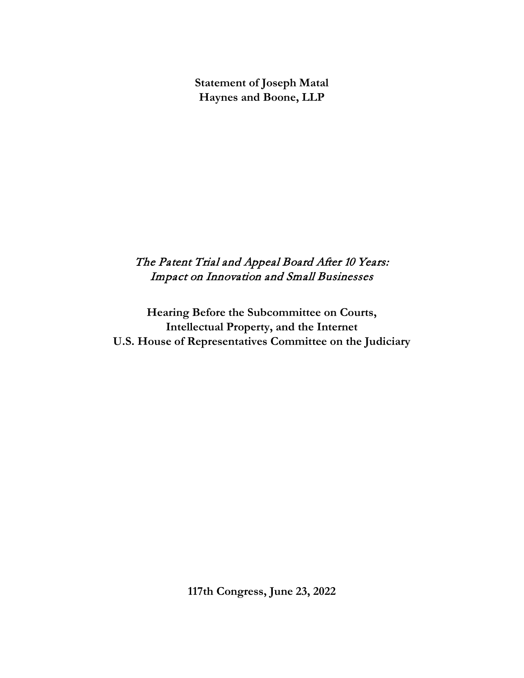**Statement of Joseph Matal Haynes and Boone, LLP**

# The Patent Trial and Appeal Board After 10 Years: Impact on Innovation and Small Businesses

**Hearing Before the Subcommittee on Courts, Intellectual Property, and the Internet U.S. House of Representatives Committee on the Judiciary** 

**117th Congress, June 23, 2022**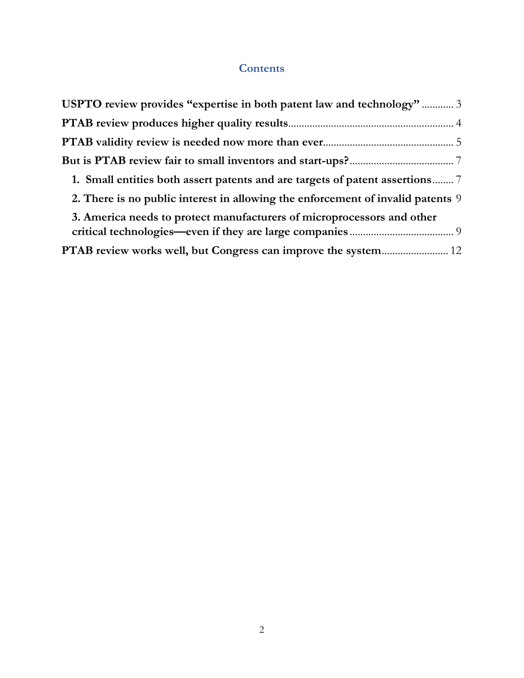## **Contents**

| USPTO review provides "expertise in both patent law and technology" 3           |
|---------------------------------------------------------------------------------|
|                                                                                 |
|                                                                                 |
|                                                                                 |
| 1. Small entities both assert patents and are targets of patent assertions?     |
| 2. There is no public interest in allowing the enforcement of invalid patents 9 |
| 3. America needs to protect manufacturers of microprocessors and other          |
|                                                                                 |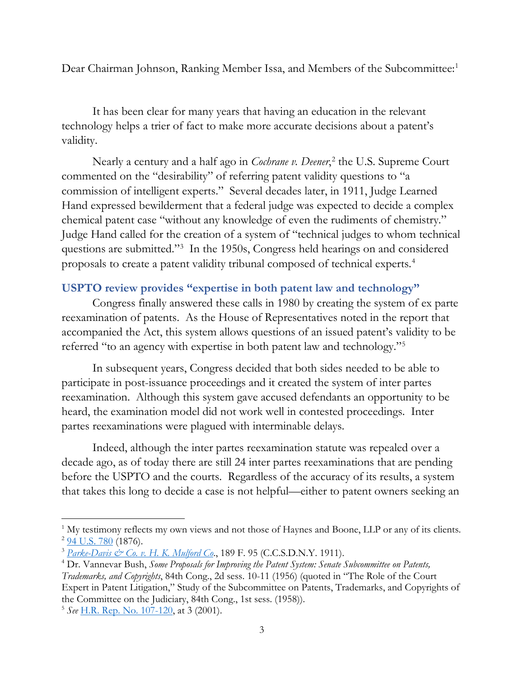Dear Chairman Johnson, Ranking Member Issa, and Members of the Subcommittee:<sup>[1](#page-2-1)</sup>

It has been clear for many years that having an education in the relevant technology helps a trier of fact to make more accurate decisions about a patent's validity.

Nearly a century and a half ago in *Cochrane v. Deener*, [2](#page-2-2) the U.S. Supreme Court commented on the "desirability" of referring patent validity questions to "a commission of intelligent experts." Several decades later, in 1911, Judge Learned Hand expressed bewilderment that a federal judge was expected to decide a complex chemical patent case "without any knowledge of even the rudiments of chemistry." Judge Hand called for the creation of a system of "technical judges to whom technical questions are submitted.["3](#page-2-3) In the 1950s, Congress held hearings on and considered proposals to create a patent validity tribunal composed of technical experts.[4](#page-2-4)

### <span id="page-2-0"></span>**USPTO review provides "expertise in both patent law and technology"**

Congress finally answered these calls in 1980 by creating the system of ex parte reexamination of patents. As the House of Representatives noted in the report that accompanied the Act, this system allows questions of an issued patent's validity to be referred "to an agency with expertise in both patent law and technology."[5](#page-2-5)

In subsequent years, Congress decided that both sides needed to be able to participate in post-issuance proceedings and it created the system of inter partes reexamination. Although this system gave accused defendants an opportunity to be heard, the examination model did not work well in contested proceedings. Inter partes reexaminations were plagued with interminable delays.

Indeed, although the inter partes reexamination statute was repealed over a decade ago, as of today there are still 24 inter partes reexaminations that are pending before the USPTO and the courts. Regardless of the accuracy of its results, a system that takes this long to decide a case is not helpful—either to patent owners seeking an

<span id="page-2-5"></span><sup>5</sup> *See* [H.R. Rep. No. 107-120,](https://www.congress.gov/congressional-report/107th-congress/house-report/120) at 3 (2001).

<span id="page-2-2"></span><span id="page-2-1"></span><sup>&</sup>lt;sup>1</sup> My testimony reflects my own views and not those of Haynes and Boone, LLP or any of its clients.  $294$  U.S. 780 (1876).

<span id="page-2-3"></span><sup>3</sup> *[Parke-Davis & Co. v. H. K. Mulford Co](https://cite.case.law/f/189/95/)*., 189 F. 95 (C.C.S.D.N.Y. 1911).

<span id="page-2-4"></span><sup>4</sup> Dr. Vannevar Bush, *Some Proposals for Improving the Patent System: Senate Subcommittee on Patents, Trademarks, and Copyrights*, 84th Cong., 2d sess. 10-11 (1956) (quoted in "The Role of the Court Expert in Patent Litigation," Study of the Subcommittee on Patents, Trademarks, and Copyrights of the Committee on the Judiciary, 84th Cong., 1st sess. (1958)).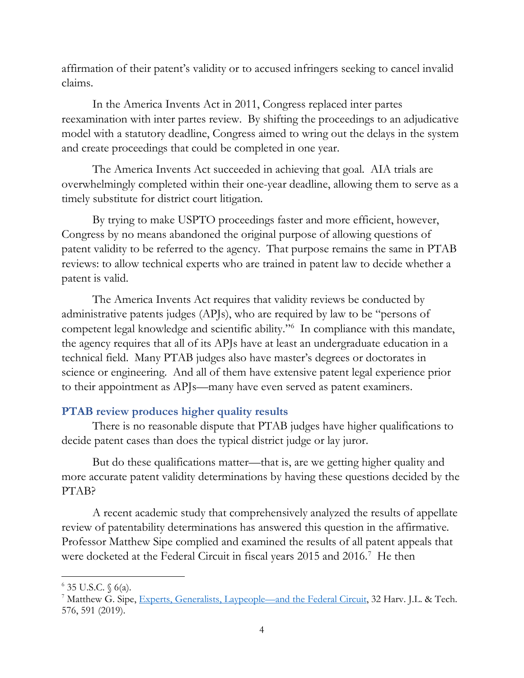affirmation of their patent's validity or to accused infringers seeking to cancel invalid claims.

In the America Invents Act in 2011, Congress replaced inter partes reexamination with inter partes review. By shifting the proceedings to an adjudicative model with a statutory deadline, Congress aimed to wring out the delays in the system and create proceedings that could be completed in one year.

The America Invents Act succeeded in achieving that goal. AIA trials are overwhelmingly completed within their one-year deadline, allowing them to serve as a timely substitute for district court litigation.

By trying to make USPTO proceedings faster and more efficient, however, Congress by no means abandoned the original purpose of allowing questions of patent validity to be referred to the agency. That purpose remains the same in PTAB reviews: to allow technical experts who are trained in patent law to decide whether a patent is valid.

The America Invents Act requires that validity reviews be conducted by administrative patents judges (APJs), who are required by law to be "persons of competent legal knowledge and scientific ability."[6](#page-3-1) In compliance with this mandate, the agency requires that all of its APJs have at least an undergraduate education in a technical field. Many PTAB judges also have master's degrees or doctorates in science or engineering. And all of them have extensive patent legal experience prior to their appointment as APJs—many have even served as patent examiners.

#### <span id="page-3-0"></span>**PTAB review produces higher quality results**

There is no reasonable dispute that PTAB judges have higher qualifications to decide patent cases than does the typical district judge or lay juror.

But do these qualifications matter—that is, are we getting higher quality and more accurate patent validity determinations by having these questions decided by the PTAB?

A recent academic study that comprehensively analyzed the results of appellate review of patentability determinations has answered this question in the affirmative. Professor Matthew Sipe complied and examined the results of all patent appeals that were docketed at the Federal Circuit in fiscal years 2015 and 2016.<sup>[7](#page-3-2)</sup> He then

<span id="page-3-2"></span><span id="page-3-1"></span><sup>&</sup>lt;sup>6</sup> 35 U.S.C. § 6(a).<br><sup>7</sup> Matthew G. Sipe, [Experts, Generalists, Laypeople—and the Federal Circuit,](https://jolt.law.harvard.edu/assets/articlePDFs/v32/32HarvJLTech575.pdf) 32 Harv. J.L. & Tech. 576, 591 (2019).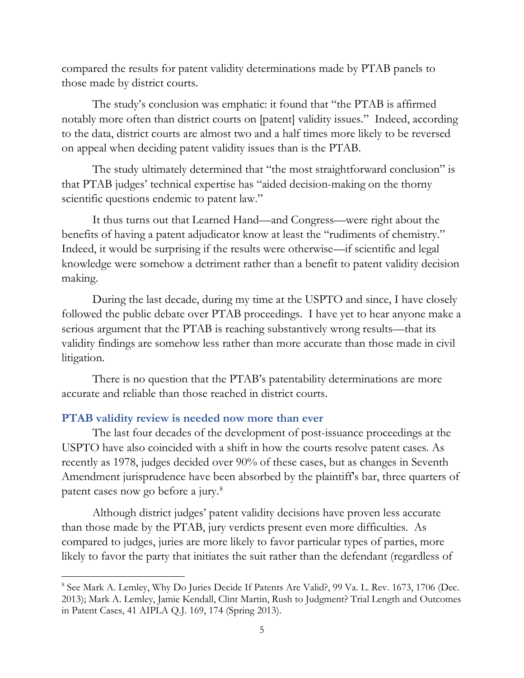compared the results for patent validity determinations made by PTAB panels to those made by district courts.

The study's conclusion was emphatic: it found that "the PTAB is affirmed notably more often than district courts on [patent] validity issues." Indeed, according to the data, district courts are almost two and a half times more likely to be reversed on appeal when deciding patent validity issues than is the PTAB.

The study ultimately determined that "the most straightforward conclusion" is that PTAB judges' technical expertise has "aided decision-making on the thorny scientific questions endemic to patent law."

It thus turns out that Learned Hand—and Congress—were right about the benefits of having a patent adjudicator know at least the "rudiments of chemistry." Indeed, it would be surprising if the results were otherwise—if scientific and legal knowledge were somehow a detriment rather than a benefit to patent validity decision making.

During the last decade, during my time at the USPTO and since, I have closely followed the public debate over PTAB proceedings. I have yet to hear anyone make a serious argument that the PTAB is reaching substantively wrong results—that its validity findings are somehow less rather than more accurate than those made in civil litigation.

There is no question that the PTAB's patentability determinations are more accurate and reliable than those reached in district courts.

#### <span id="page-4-0"></span>**PTAB validity review is needed now more than ever**

The last four decades of the development of post-issuance proceedings at the USPTO have also coincided with a shift in how the courts resolve patent cases. As recently as 1978, judges decided over 90% of these cases, but as changes in Seventh Amendment jurisprudence have been absorbed by the plaintiff's bar, three quarters of patent cases now go before a jury.[8](#page-4-1)

Although district judges' patent validity decisions have proven less accurate than those made by the PTAB, jury verdicts present even more difficulties. As compared to judges, juries are more likely to favor particular types of parties, more likely to favor the party that initiates the suit rather than the defendant (regardless of

<span id="page-4-1"></span><sup>&</sup>lt;sup>8</sup> See Mark A. Lemley, Why Do Juries Decide If Patents Are Valid?, 99 Va. L. Rev. 1673, 1706 (Dec. 2013); Mark A. Lemley, Jamie Kendall, Clint Martin, Rush to Judgment? Trial Length and Outcomes in Patent Cases, 41 AIPLA Q.J. 169, 174 (Spring 2013).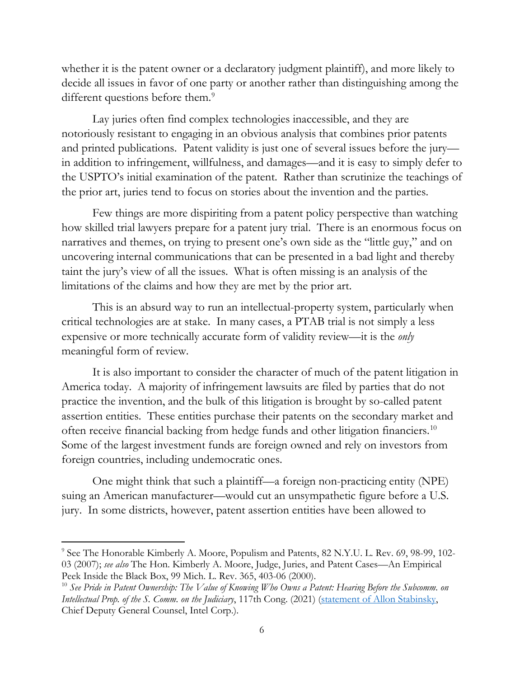whether it is the patent owner or a declaratory judgment plaintiff), and more likely to decide all issues in favor of one party or another rather than distinguishing among the different questions before them.<sup>[9](#page-5-0)</sup>

Lay juries often find complex technologies inaccessible, and they are notoriously resistant to engaging in an obvious analysis that combines prior patents and printed publications. Patent validity is just one of several issues before the jury in addition to infringement, willfulness, and damages—and it is easy to simply defer to the USPTO's initial examination of the patent. Rather than scrutinize the teachings of the prior art, juries tend to focus on stories about the invention and the parties.

Few things are more dispiriting from a patent policy perspective than watching how skilled trial lawyers prepare for a patent jury trial. There is an enormous focus on narratives and themes, on trying to present one's own side as the "little guy," and on uncovering internal communications that can be presented in a bad light and thereby taint the jury's view of all the issues. What is often missing is an analysis of the limitations of the claims and how they are met by the prior art.

This is an absurd way to run an intellectual-property system, particularly when critical technologies are at stake. In many cases, a PTAB trial is not simply a less expensive or more technically accurate form of validity review—it is the *only* meaningful form of review.

It is also important to consider the character of much of the patent litigation in America today. A majority of infringement lawsuits are filed by parties that do not practice the invention, and the bulk of this litigation is brought by so-called patent assertion entities. These entities purchase their patents on the secondary market and often receive financial backing from hedge funds and other litigation financiers. [10](#page-5-1) Some of the largest investment funds are foreign owned and rely on investors from foreign countries, including undemocratic ones.

One might think that such a plaintiff—a foreign non-practicing entity (NPE) suing an American manufacturer—would cut an unsympathetic figure before a U.S. jury. In some districts, however, patent assertion entities have been allowed to

<span id="page-5-0"></span><sup>&</sup>lt;sup>9</sup> See The Honorable Kimberly A. Moore, Populism and Patents, 82 N.Y.U. L. Rev. 69, 98-99, 102-03 (2007); *see also* The Hon. Kimberly A. Moore, Judge, Juries, and Patent Cases—An Empirical Peek Inside the Black Box, 99 Mich. L. Rev. 365, 403-06 (2000).<br><sup>10</sup> See Pride in Patent Ownership: The Value of Knowing Who Owns a Patent: Hearing Before the Subcomm. on

<span id="page-5-1"></span>*Intellectual Prop. of the S. Comm. on the Judiciary*, 117th Cong. (2021) [\(statement of Allon Stabinsky,](https://www.judiciary.senate.gov/imo/media/doc/Stabinsky%20-%20Testimony.pdf) Chief Deputy General Counsel, Intel Corp.).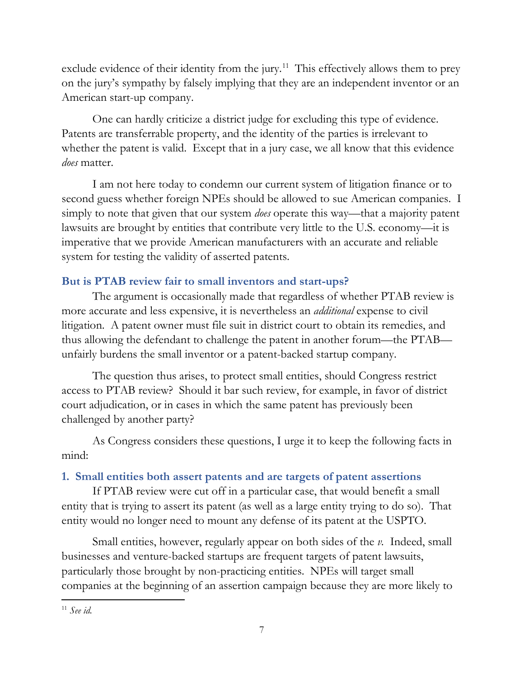exclude evidence of their identity from the jury.<sup>11</sup> This effectively allows them to prey on the jury's sympathy by falsely implying that they are an independent inventor or an American start-up company.

One can hardly criticize a district judge for excluding this type of evidence. Patents are transferrable property, and the identity of the parties is irrelevant to whether the patent is valid. Except that in a jury case, we all know that this evidence *does* matter.

I am not here today to condemn our current system of litigation finance or to second guess whether foreign NPEs should be allowed to sue American companies. I simply to note that given that our system *does* operate this way—that a majority patent lawsuits are brought by entities that contribute very little to the U.S. economy—it is imperative that we provide American manufacturers with an accurate and reliable system for testing the validity of asserted patents.

### <span id="page-6-0"></span>**But is PTAB review fair to small inventors and start-ups?**

The argument is occasionally made that regardless of whether PTAB review is more accurate and less expensive, it is nevertheless an *additional* expense to civil litigation. A patent owner must file suit in district court to obtain its remedies, and thus allowing the defendant to challenge the patent in another forum—the PTAB unfairly burdens the small inventor or a patent-backed startup company.

The question thus arises, to protect small entities, should Congress restrict access to PTAB review? Should it bar such review, for example, in favor of district court adjudication, or in cases in which the same patent has previously been challenged by another party?

As Congress considers these questions, I urge it to keep the following facts in mind:

### <span id="page-6-1"></span>**1. Small entities both assert patents and are targets of patent assertions**

If PTAB review were cut off in a particular case, that would benefit a small entity that is trying to assert its patent (as well as a large entity trying to do so). That entity would no longer need to mount any defense of its patent at the USPTO.

Small entities, however, regularly appear on both sides of the *v.* Indeed, small businesses and venture-backed startups are frequent targets of patent lawsuits, particularly those brought by non-practicing entities. NPEs will target small companies at the beginning of an assertion campaign because they are more likely to

<span id="page-6-2"></span><sup>11</sup> *See id.*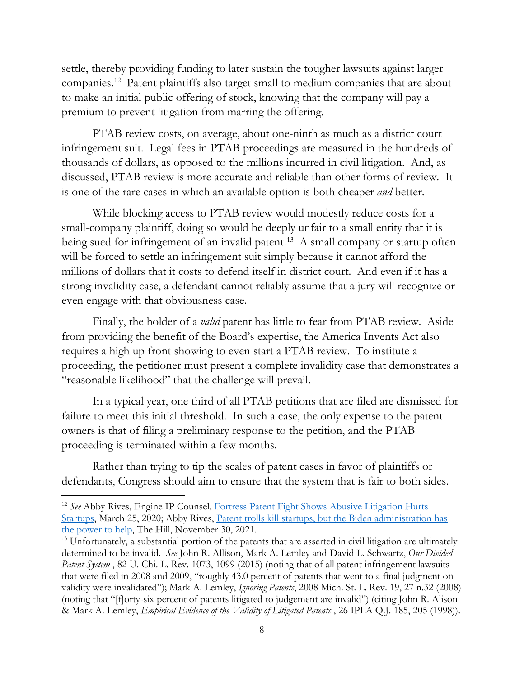settle, thereby providing funding to later sustain the tougher lawsuits against larger companies[.12](#page-7-0) Patent plaintiffs also target small to medium companies that are about to make an initial public offering of stock, knowing that the company will pay a premium to prevent litigation from marring the offering.

PTAB review costs, on average, about one-ninth as much as a district court infringement suit. Legal fees in PTAB proceedings are measured in the hundreds of thousands of dollars, as opposed to the millions incurred in civil litigation. And, as discussed, PTAB review is more accurate and reliable than other forms of review. It is one of the rare cases in which an available option is both cheaper *and* better.

While blocking access to PTAB review would modestly reduce costs for a small-company plaintiff, doing so would be deeply unfair to a small entity that it is being sued for infringement of an invalid patent.<sup>[13](#page-7-1)</sup> A small company or startup often will be forced to settle an infringement suit simply because it cannot afford the millions of dollars that it costs to defend itself in district court. And even if it has a strong invalidity case, a defendant cannot reliably assume that a jury will recognize or even engage with that obviousness case.

Finally, the holder of a *valid* patent has little to fear from PTAB review. Aside from providing the benefit of the Board's expertise, the America Invents Act also requires a high up front showing to even start a PTAB review. To institute a proceeding, the petitioner must present a complete invalidity case that demonstrates a "reasonable likelihood" that the challenge will prevail.

In a typical year, one third of all PTAB petitions that are filed are dismissed for failure to meet this initial threshold. In such a case, the only expense to the patent owners is that of filing a preliminary response to the petition, and the PTAB proceeding is terminated within a few months.

Rather than trying to tip the scales of patent cases in favor of plaintiffs or defendants, Congress should aim to ensure that the system that is fair to both sides.

<span id="page-7-0"></span><sup>12</sup> *See* Abby Rives, Engine IP Counsel, [Fortress Patent Fight Shows Abusive Litigation Hurts](https://www.engine.is/news/fortress-patent-fight-shows-abusive-litigation-hurts-startups)  [Startups,](https://www.engine.is/news/fortress-patent-fight-shows-abusive-litigation-hurts-startups) March 25, 2020; Abby Rives, Patent trolls kill startups, but the Biden administration has [the power to help,](https://thehill.com/blogs/congress-blog/politics/583564-patent-trolls-kill-startups-but-the-biden-administration-has-the/) The Hill, November 30, 2021.

<span id="page-7-1"></span><sup>&</sup>lt;sup>13</sup> Unfortunately, a substantial portion of the patents that are asserted in civil litigation are ultimately determined to be invalid. *See* John R. Allison, Mark A. Lemley and David L. Schwartz, *Our Divided Patent System* , 82 U. Chi. L. Rev. 1073, 1099 (2015) (noting that of all patent infringement lawsuits that were filed in 2008 and 2009, "roughly 43.0 percent of patents that went to a final judgment on validity were invalidated"); Mark A. Lemley, *Ignoring Patents*, 2008 Mich. St. L. Rev. 19, 27 n.32 (2008) (noting that "[f]orty-six percent of patents litigated to judgement are invalid") (citing John R. Alison & Mark A. Lemley, *Empirical Evidence of the Validity of Litigated Patents* , 26 IPLA Q.J. 185, 205 (1998)).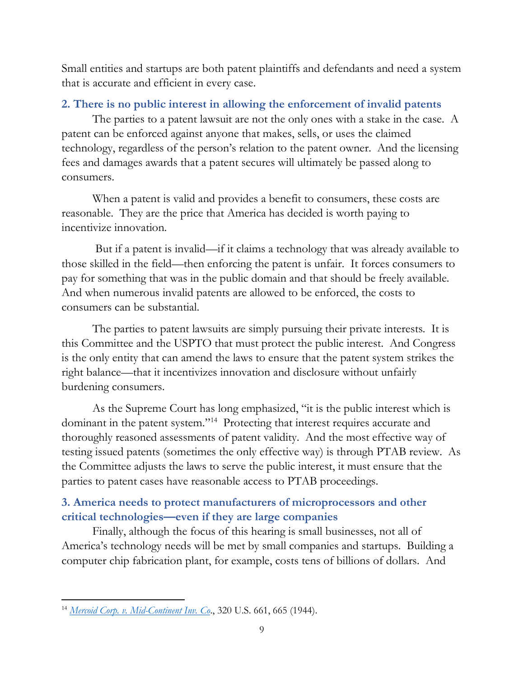Small entities and startups are both patent plaintiffs and defendants and need a system that is accurate and efficient in every case.

### <span id="page-8-0"></span>**2. There is no public interest in allowing the enforcement of invalid patents**

The parties to a patent lawsuit are not the only ones with a stake in the case. A patent can be enforced against anyone that makes, sells, or uses the claimed technology, regardless of the person's relation to the patent owner. And the licensing fees and damages awards that a patent secures will ultimately be passed along to consumers.

When a patent is valid and provides a benefit to consumers, these costs are reasonable. They are the price that America has decided is worth paying to incentivize innovation.

But if a patent is invalid—if it claims a technology that was already available to those skilled in the field—then enforcing the patent is unfair. It forces consumers to pay for something that was in the public domain and that should be freely available. And when numerous invalid patents are allowed to be enforced, the costs to consumers can be substantial.

The parties to patent lawsuits are simply pursuing their private interests. It is this Committee and the USPTO that must protect the public interest. And Congress is the only entity that can amend the laws to ensure that the patent system strikes the right balance—that it incentivizes innovation and disclosure without unfairly burdening consumers.

As the Supreme Court has long emphasized, "it is the public interest which is dominant in the patent system."[14](#page-8-2) Protecting that interest requires accurate and thoroughly reasoned assessments of patent validity. And the most effective way of testing issued patents (sometimes the only effective way) is through PTAB review. As the Committee adjusts the laws to serve the public interest, it must ensure that the parties to patent cases have reasonable access to PTAB proceedings.

# <span id="page-8-1"></span>**3. America needs to protect manufacturers of microprocessors and other critical technologies—even if they are large companies**

Finally, although the focus of this hearing is small businesses, not all of America's technology needs will be met by small companies and startups. Building a computer chip fabrication plant, for example, costs tens of billions of dollars. And

<span id="page-8-2"></span><sup>14</sup> *[Mercoid Corp. v. Mid-Continent Inv. Co](https://supreme.justia.com/cases/federal/us/320/661/)*., 320 U.S. 661, 665 (1944).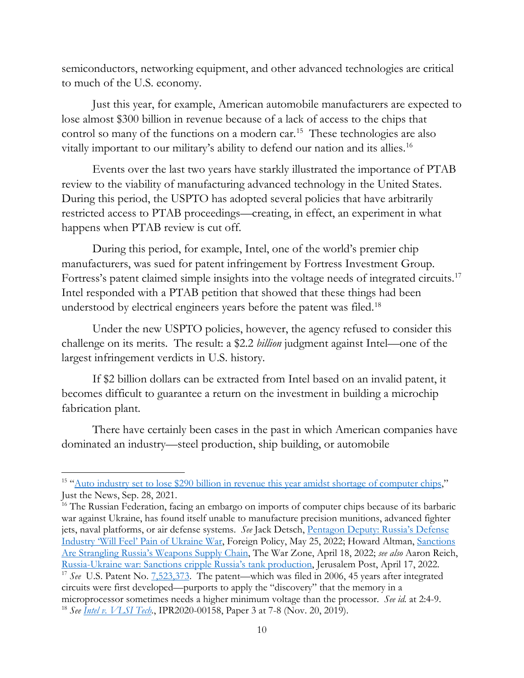semiconductors, networking equipment, and other advanced technologies are critical to much of the U.S. economy.

Just this year, for example, American automobile manufacturers are expected to lose almost \$300 billion in revenue because of a lack of access to the chips that control so many of the functions on a modern car[.15](#page-9-0) These technologies are also vitally important to our military's ability to defend our nation and its allies[.16](#page-9-1)

Events over the last two years have starkly illustrated the importance of PTAB review to the viability of manufacturing advanced technology in the United States. During this period, the USPTO has adopted several policies that have arbitrarily restricted access to PTAB proceedings—creating, in effect, an experiment in what happens when PTAB review is cut off.

During this period, for example, Intel, one of the world's premier chip manufacturers, was sued for patent infringement by Fortress Investment Group. Fortress's patent claimed simple insights into the voltage needs of integrated circuits[.17](#page-9-2) Intel responded with a PTAB petition that showed that these things had been understood by electrical engineers years before the patent was filed.<sup>18</sup>

Under the new USPTO policies, however, the agency refused to consider this challenge on its merits. The result: a \$2.2 *billion* judgment against Intel—one of the largest infringement verdicts in U.S. history.

If \$2 billion dollars can be extracted from Intel based on an invalid patent, it becomes difficult to guarantee a return on the investment in building a microchip fabrication plant.

There have certainly been cases in the past in which American companies have dominated an industry—steel production, ship building, or automobile

<span id="page-9-0"></span><sup>&</sup>lt;sup>15</sup> ["Auto industry set to lose \\$290 billion in revenue this year amidst shortage of computer chips,](https://justthenews.com/nation/states/semiconductor-shortages-cost-auto-industry-210-billion-revenue-year)" Just the News, Sep. 28, 2021.

<span id="page-9-3"></span><span id="page-9-2"></span><span id="page-9-1"></span><sup>&</sup>lt;sup>16</sup> The Russian Federation, facing an embargo on imports of computer chips because of its barbaric war against Ukraine, has found itself unable to manufacture precision munitions, advanced fighter jets, naval platforms, or air defense systems. *See* Jack Detsch, [Pentagon Deputy: Russia's Defense](https://foreignpolicy.com/2022/05/25/pentagon-russia-defense-industry-ukraine-war/)  [Industry 'Will Feel' Pain of Ukraine War,](https://foreignpolicy.com/2022/05/25/pentagon-russia-defense-industry-ukraine-war/) Foreign Policy, May 25, 2022; Howard Altman, [Sanctions](https://www.thedrive.com/the-war-zone/sanctions-are-strangling-russias-weapons-supply-chain)  [Are Strangling Russia's Weapons Supply Chain,](https://www.thedrive.com/the-war-zone/sanctions-are-strangling-russias-weapons-supply-chain) The War Zone, April 18, 2022; *see also* Aaron Reich, [Russia-Ukraine war: Sanctions cripple Russia's tank production,](https://www.jpost.com/international/article-704376) Jerusalem Post, April 17, 2022. <sup>17</sup> *See* U.S. Patent No. [7,523,373.](https://pdfpiw.uspto.gov/.piw?PageNum=0&docid=07523373&IDKey=&HomeUrl=%2F) The patent—which was filed in 2006, 45 years after integrated circuits were first developed—purports to apply the "discovery" that the memory in a microprocessor sometimes needs a higher minimum voltage than the processor. *See id.* at 2:4-9. <sup>18</sup> *See Intel v. [VLSI](https://s3-us-west-1.amazonaws.com/ptab-filings%2FIPR2020-00158%2F3) Tech.*, IPR2020-00158, Paper 3 at 7-8 (Nov. 20, 2019).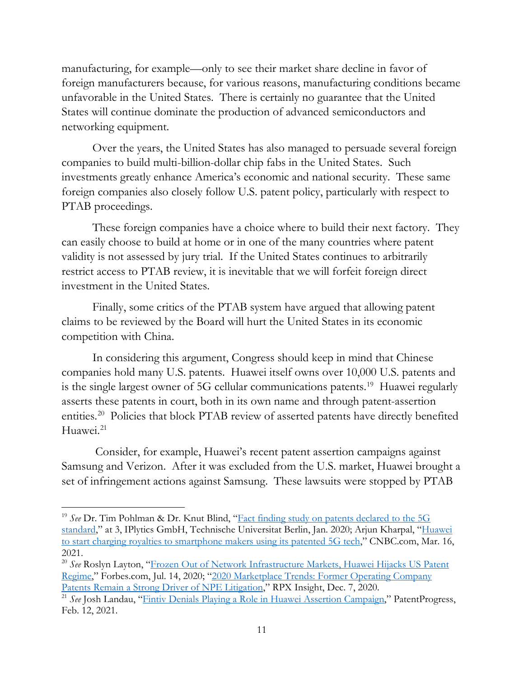manufacturing, for example—only to see their market share decline in favor of foreign manufacturers because, for various reasons, manufacturing conditions became unfavorable in the United States. There is certainly no guarantee that the United States will continue dominate the production of advanced semiconductors and networking equipment.

Over the years, the United States has also managed to persuade several foreign companies to build multi-billion-dollar chip fabs in the United States. Such investments greatly enhance America's economic and national security. These same foreign companies also closely follow U.S. patent policy, particularly with respect to PTAB proceedings.

These foreign companies have a choice where to build their next factory. They can easily choose to build at home or in one of the many countries where patent validity is not assessed by jury trial. If the United States continues to arbitrarily restrict access to PTAB review, it is inevitable that we will forfeit foreign direct investment in the United States.

Finally, some critics of the PTAB system have argued that allowing patent claims to be reviewed by the Board will hurt the United States in its economic competition with China.

In considering this argument, Congress should keep in mind that Chinese companies hold many U.S. patents. Huawei itself owns over 10,000 U.S. patents and is the single largest owner of 5G cellular communications patents.[19](#page-10-0) Huawei regularly asserts these patents in court, both in its own name and through patent-assertion entities.<sup>[20](#page-10-1)</sup> Policies that block PTAB review of asserted patents have directly benefited Huawei. [21](#page-10-2)

Consider, for example, Huawei's recent patent assertion campaigns against Samsung and Verizon. After it was excluded from the U.S. market, Huawei brought a set of infringement actions against Samsung. These lawsuits were stopped by PTAB

<span id="page-10-0"></span><sup>&</sup>lt;sup>19</sup> See Dr. Tim Pohlman & Dr. Knut Blind, ["Fact finding study on patents declared to](https://www.iplytics.com/wp-content/uploads/2020/02/5G-patent-study_TU-Berlin_IPlytics-2020.pdf) the 5G [standard,](https://www.iplytics.com/wp-content/uploads/2020/02/5G-patent-study_TU-Berlin_IPlytics-2020.pdf)" at 3, IPlytics GmbH, Technische Universitat Berlin, Jan. 2020; Arjun Kharpal, "Huawei [to start charging royalties to smartphone makers using its patented 5G tech,](https://www.cnbc.com/2021/03/16/huawei-to-charge-royalties-to-smartphone-makers-using-its-5g-tech-.html)" CNBC.com, Mar. 16, 2021.

<span id="page-10-1"></span><sup>20</sup> *See* Roslyn Layton, ["Frozen Out of Network Infrastructure Markets, Huawei Hijacks US Patent](https://www.forbes.com/sites/roslynlayton/2020/07/14/frozen-out-of-network-infrastructure-markets-huawei-hijacks-us-patent-regime/?sh=5379d02a3ff6)  [Regime,](https://www.forbes.com/sites/roslynlayton/2020/07/14/frozen-out-of-network-infrastructure-markets-huawei-hijacks-us-patent-regime/?sh=5379d02a3ff6)" Forbes.com, Jul. 14, 2020; "2020 Marketplace Trends: Former Operating Company<br>Patents Remain a Strong Driver of NPE Litigation," RPX Insight, Dec. 7, 2020.

<span id="page-10-2"></span><sup>&</sup>lt;sup>21</sup> See Josh Landau, ["Fintiv Denials Playing a Role in Huawei Assertion Campaign,](https://www.patentprogress.org/2021/02/12/fintiv-denials-playing-a-role-in-huawei-assertion-campaign/)" PatentProgress, Feb. 12, 2021.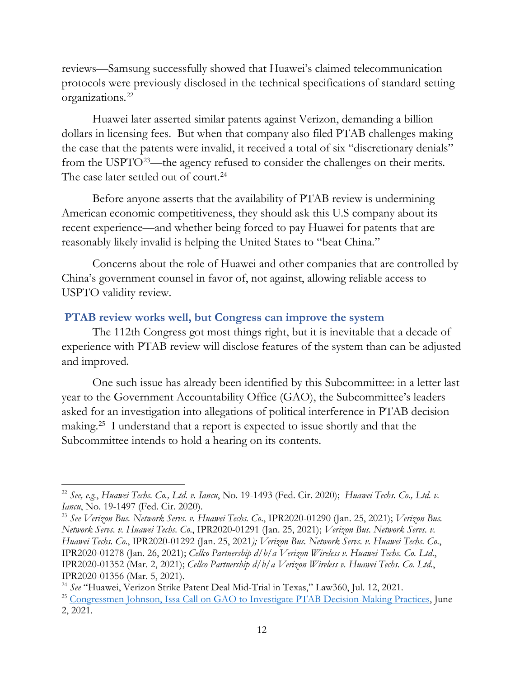reviews—Samsung successfully showed that Huawei's claimed telecommunication protocols were previously disclosed in the technical specifications of standard setting organizations.[22](#page-11-1)

Huawei later asserted similar patents against Verizon, demanding a billion dollars in licensing fees. But when that company also filed PTAB challenges making the case that the patents were invalid, it received a total of six "discretionary denials" from the USPTO<sup>23</sup>—the agency refused to consider the challenges on their merits. The case later settled out of court.<sup>[24](#page-11-3)</sup>

Before anyone asserts that the availability of PTAB review is undermining American economic competitiveness, they should ask this U.S company about its recent experience—and whether being forced to pay Huawei for patents that are reasonably likely invalid is helping the United States to "beat China."

Concerns about the role of Huawei and other companies that are controlled by China's government counsel in favor of, not against, allowing reliable access to USPTO validity review.

#### <span id="page-11-0"></span>**PTAB review works well, but Congress can improve the system**

The 112th Congress got most things right, but it is inevitable that a decade of experience with PTAB review will disclose features of the system than can be adjusted and improved.

One such issue has already been identified by this Subcommittee: in a letter last year to the Government Accountability Office (GAO), the Subcommittee's leaders asked for an investigation into allegations of political interference in PTAB decision making.[25](#page-11-4) I understand that a report is expected to issue shortly and that the Subcommittee intends to hold a hearing on its contents.

<span id="page-11-1"></span><sup>22</sup> *See, e.g.*, *Huawei Techs. Co., Ltd. v. Iancu*, No. 19-1493 (Fed. Cir. 2020); *Huawei Techs. Co., Ltd. v. Iancu*, No. 19-1497 (Fed. Cir. 2020).

<span id="page-11-2"></span><sup>23</sup> *See Verizon Bus. Network Servs. v. Huawei Techs. Co*., IPR2020-01290 (Jan. 25, 2021); *Verizon Bus. Network Servs. v. Huawei Techs. Co*., IPR2020-01291 (Jan. 25, 2021); *Verizon Bus. Network Servs. v. Huawei Techs. Co*., IPR2020-01292 (Jan. 25, 2021*); Verizon Bus. Network Servs. v. Huawei Techs. Co*., IPR2020-01278 (Jan. 26, 2021); *Cellco Partnership d/b/a Verizon Wireless v. Huawei Techs. Co. Ltd*., IPR2020-01352 (Mar. 2, 2021); *Cellco Partnership d/b/a Verizon Wireless v. Huawei Techs. Co. Ltd*., IPR2020-01356 (Mar. 5, 2021). 24 *See* "Huawei, Verizon Strike Patent Deal Mid-Trial in Texas," Law360, Jul. 12, 2021.

<span id="page-11-3"></span>

<span id="page-11-4"></span><sup>&</sup>lt;sup>25</sup> [Congressmen Johnson, Issa Call on GAO to Investigate PTAB Decision-Making Practices,](https://hankjohnson.house.gov/media-center/press-releases/congressmen-johnson-issa-call-gao-investigate-ptab-decision-making) June 2, 2021.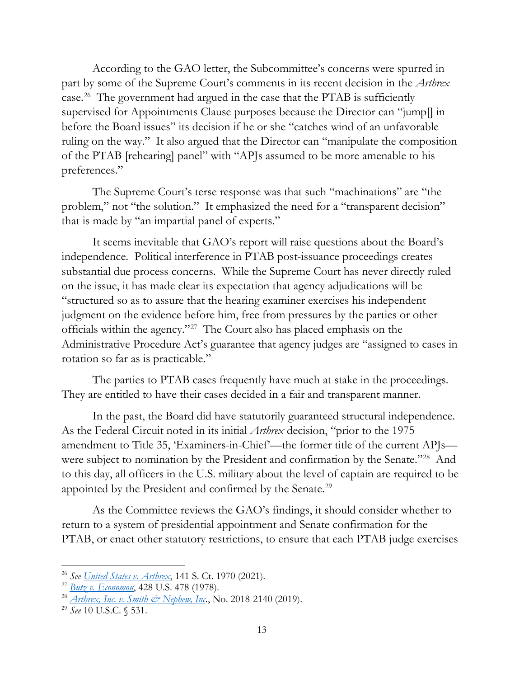According to the GAO letter, the Subcommittee's concerns were spurred in part by some of the Supreme Court's comments in its recent decision in the *Arthrex*  case.[26](#page-12-0) The government had argued in the case that the PTAB is sufficiently supervised for Appointments Clause purposes because the Director can "jump[] in before the Board issues" its decision if he or she "catches wind of an unfavorable ruling on the way." It also argued that the Director can "manipulate the composition of the PTAB [rehearing] panel" with "APJs assumed to be more amenable to his preferences."

The Supreme Court's terse response was that such "machinations" are "the problem," not "the solution." It emphasized the need for a "transparent decision" that is made by "an impartial panel of experts."

It seems inevitable that GAO's report will raise questions about the Board's independence. Political interference in PTAB post-issuance proceedings creates substantial due process concerns. While the Supreme Court has never directly ruled on the issue, it has made clear its expectation that agency adjudications will be "structured so as to assure that the hearing examiner exercises his independent judgment on the evidence before him, free from pressures by the parties or other officials within the agency."[27](#page-12-1) The Court also has placed emphasis on the Administrative Procedure Act's guarantee that agency judges are "assigned to cases in rotation so far as is practicable."

The parties to PTAB cases frequently have much at stake in the proceedings. They are entitled to have their cases decided in a fair and transparent manner.

In the past, the Board did have statutorily guaranteed structural independence. As the Federal Circuit noted in its initial *Arthrex* decision, "prior to the 1975 amendment to Title 35, 'Examiners-in-Chief'—the former title of the current APJs were subject to nomination by the President and confirmation by the Senate.["28](#page-12-2) And to this day, all officers in the U.S. military about the level of captain are required to be appointed by the President and confirmed by the Senate.<sup>29</sup>

As the Committee reviews the GAO's findings, it should consider whether to return to a system of presidential appointment and Senate confirmation for the PTAB, or enact other statutory restrictions, to ensure that each PTAB judge exercises

<span id="page-12-0"></span><sup>26</sup> *See [United States v.](https://www.supremecourt.gov/opinions/20pdf/19-1434_ancf.pdf) Arthrex*, 141 S. Ct. 1970 (2021).

<span id="page-12-1"></span><sup>27</sup> *[Butz v. Economou](https://caselaw.findlaw.com/us-supreme-court/438/478.html)*, 428 U.S. 478 (1978).

<span id="page-12-2"></span><sup>28</sup> *Arthrex, Inc. [v. Smith & Nephew, Inc.](https://cases.justia.com/federal/appellate-courts/cafc/18-2140/18-2140-2019-10-31.pdf?ts=1572552094)*, No. 2018-2140 (2019).

<span id="page-12-3"></span><sup>29</sup> *See* 10 U.S.C. § 531.